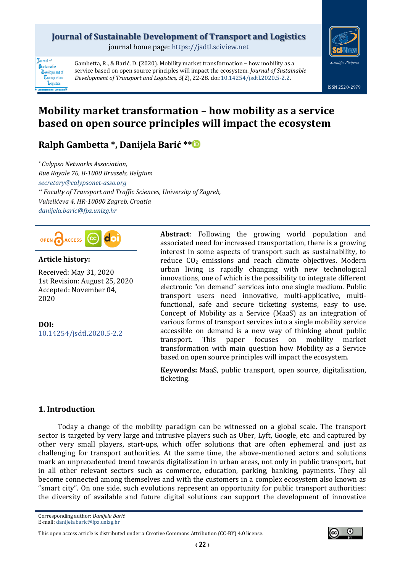## **Journal of Sustainable Development of Transport and Logistics**

journal home page[: https://jsdtl.sciview.net](https://jsdtl.sciview.net/)



Gambetta, R., & Barić, D. (2020). Mobility market transformation – how mobility as a service based on open source principles will impact the ecosystem. *Journal of Sustainable Development of Transport and Logistics, 5*(2), 22-28. do[i:10.14254/jsdtl.2020.5-2.2.](https://doi.org/10.14254/jsdtl.2020.5-2.2)



# **Ralph Gambetta \*, Danijela Barić \*[\\*](https://orcid.org/0000-0002-5540-5115)**

*\* Calypso Networks Association, Rue Royale 76, B-1000 Brussels, Belgium [secretary@calypsonet-asso.org](mailto:secretary@calypsonet-asso.org) \*\* Faculty of Transport and Traffic Sciences, University of Zagreb, Vukelićeva 4, HR-10000 Zagreb, Croatia [danijela.baric@fpz.unizg.hr](mailto:danijela.baric@fpz.unizg.hr)*



## **Article history:**

Received: May 31, 2020 1st Revision: August 25, 2020 Accepted: November 04, 2020

**DOI:** [10.14254/jsdtl.2020.5-2.2](https://doi.org/10.14254/jsdtl.2020.5-2.2) **Abstract**: Following the growing world population and associated need for increased transportation, there is a growing interest in some aspects of transport such as sustainability, to reduce CO<sup>2</sup> emissions and reach climate objectives. Modern urban living is rapidly changing with new technological innovations, one of which is the possibility to integrate different electronic "on demand" services into one single medium. Public transport users need innovative, multi-applicative, multifunctional, safe and secure ticketing systems, easy to use. Concept of Mobility as a Service (MaaS) as an integration of various forms of transport services into a single mobility service accessible on demand is a new way of thinking about public transport. This paper focuses on mobility market transformation with main question how Mobility as a Service based on open source principles will impact the ecosystem.

**Keywords:** MaaS, public transport, open source, digitalisation, ticketing.

## **1. Introduction**

Today a change of the mobility paradigm can be witnessed on a global scale. The transport sector is targeted by very large and intrusive players such as Uber, Lyft, Google, etc. and captured by other very small players, start-ups, which offer solutions that are often ephemeral and just as challenging for transport authorities. At the same time, the above-mentioned actors and solutions mark an unprecedented trend towards digitalization in urban areas, not only in public transport, but in all other relevant sectors such as commerce, education, parking, banking, payments. They all become connected among themselves and with the customers in a complex ecosystem also known as "smart city". On one side, such evolutions represent an opportunity for public transport authorities: the diversity of available and future digital solutions can support the development of innovative

Corresponding author: *Danijela Barić*

E-mail[: danijela.baric@fpz.unizg.hr](mailto:danijela.baric@fpz.unizg.hr)

This open access article is distributed under [a Creative Commons Attribution \(CC-BY\) 4.0 license.](http://creativecommons.org/licenses/by/4.0/)



*Scientific Platform*

ISSN 2520-2979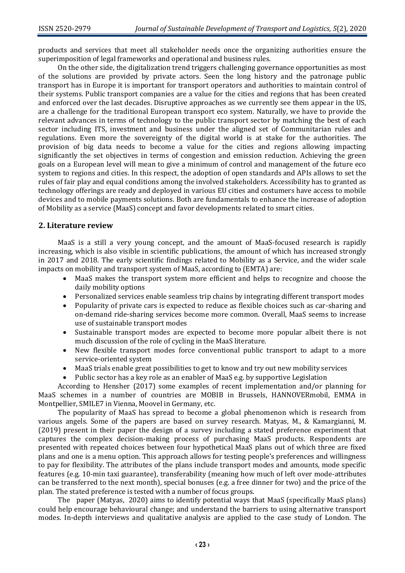products and services that meet all stakeholder needs once the organizing authorities ensure the superimposition of legal frameworks and operational and business rules.

On the other side, the digitalization trend triggers challenging governance opportunities as most of the solutions are provided by private actors. Seen the long history and the patronage public transport has in Europe it is important for transport operators and authorities to maintain control of their systems. Public transport companies are a value for the cities and regions that has been created and enforced over the last decades. Disruptive approaches as we currently see them appear in the US, are a challenge for the traditional European transport eco system. Naturally, we have to provide the relevant advances in terms of technology to the public transport sector by matching the best of each sector including ITS, investment and business under the aligned set of Communitarian rules and regulations. Even more the sovereignty of the digital world is at stake for the authorities. The provision of big data needs to become a value for the cities and regions allowing impacting significantly the set objectives in terms of congestion and emission reduction. Achieving the green goals on a European level will mean to give a minimum of control and management of the future eco system to regions and cities. In this respect, the adoption of open standards and APIs allows to set the rules of fair play and equal conditions among the involved stakeholders. Accessibility has to granted as technology offerings are ready and deployed in various EU cities and costumers have access to mobile devices and to mobile payments solutions. Both are fundamentals to enhance the increase of adoption of Mobility as a service (MaaS) concept and favor developments related to smart cities.

## **2. Literature review**

MaaS is a still a very young concept, and the amount of MaaS-focused research is rapidly increasing, which is also visible in scientific publications, the amount of which has increased strongly in 2017 and 2018. The early scientific findings related to Mobility as a Service, and the wider scale impacts on mobility and transport system of MaaS, according to (EMTA) are:

- MaaS makes the transport system more efficient and helps to recognize and choose the daily mobility options
- Personalized services enable seamless trip chains by integrating different transport modes
- Popularity of private cars is expected to reduce as flexible choices such as car-sharing and on-demand ride-sharing services become more common. Overall, MaaS seems to increase use of sustainable transport modes
- Sustainable transport modes are expected to become more popular albeit there is not much discussion of the role of cycling in the MaaS literature.
- New flexible transport modes force conventional public transport to adapt to a more service-oriented system
- MaaS trials enable great possibilities to get to know and try out new mobility services
- Public sector has a key role as an enabler of MaaS e.g. by supportive Legislation

According to Hensher (2017) some examples of recent implementation and/or planning for MaaS schemes in a number of countries are MOBIB in Brussels, HANNOVERmobil, EMMA in Montpellier, SMILE7 in Vienna, Moovel in Germany, etc.

The popularity of MaaS has spread to become a global phenomenon which is research from various angels. Some of the papers are based on survey research. Matyas, M., & Kamargianni, M. (2019) present in their paper the design of a survey including a stated preference experiment that captures the complex decision-making process of purchasing MaaS products. Respondents are presented with repeated choices between four hypothetical MaaS plans out of which three are fixed plans and one is a menu option. This approach allows for testing people's preferences and willingness to pay for flexibility. The attributes of the plans include transport modes and amounts, mode specific features (e.g. 10-min taxi guarantee), transferability (meaning how much of left over mode-attributes can be transferred to the next month), special bonuses (e.g. a free dinner for two) and the price of the plan. The stated preference is tested with a number of focus groups.

The paper (Matyas, 2020) aims to identify potential ways that MaaS (specifically MaaS plans) could help encourage behavioural change; and understand the barriers to using alternative transport modes. In-depth interviews and qualitative analysis are applied to the case study of London. The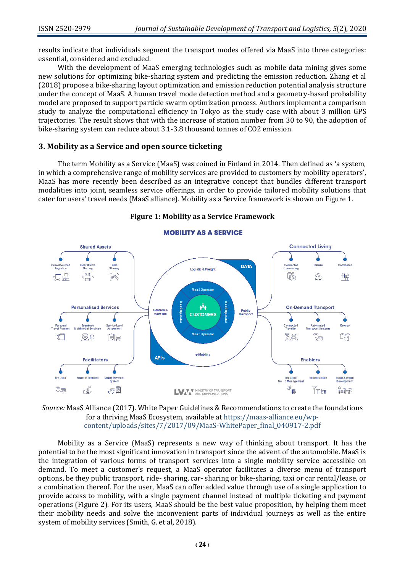results indicate that individuals segment the transport modes offered via MaaS into three categories: essential, considered and excluded.

With the development of MaaS emerging technologies such as mobile data mining gives some new solutions for optimizing bike-sharing system and predicting the emission reduction. Zhang et al (2018) propose a bike-sharing layout optimization and emission reduction potential analysis structure under the concept of MaaS. A human travel mode detection method and a geometry-based probability model are proposed to support particle swarm optimization process. Authors implement a comparison study to analyze the computational efficiency in Tokyo as the study case with about 3 million GPS trajectories. The result shows that with the increase of station number from 30 to 90, the adoption of bike-sharing system can reduce about 3.1-3.8 thousand tonnes of CO2 emission.

## **3. Mobility as a Service and open source ticketing**

The term Mobility as a Service (MaaS) was coined in Finland in 2014. Then defined as 'a system, in which a comprehensive range of mobility services are provided to customers by mobility operators', MaaS has more recently been described as an integrative concept that bundles different transport modalities into joint, seamless service offerings, in order to provide tailored mobility solutions that cater for users' travel needs (MaaS alliance). Mobility as a Service framework is shown on Figure 1.





*Source:* MaaS Alliance (2017). White Paper Guidelines & Recommendations to create the foundations for a thriving MaaS Ecosystem, available at [https://maas-alliance.eu/wp](https://maas-alliance.eu/wp-content/uploads/sites/7/2017/09/MaaS-WhitePaper_final_040917-2.pdf)[content/uploads/sites/7/2017/09/MaaS-WhitePaper\\_final\\_040917-2.pdf](https://maas-alliance.eu/wp-content/uploads/sites/7/2017/09/MaaS-WhitePaper_final_040917-2.pdf)

Mobility as a Service (MaaS) represents a new way of thinking about transport. It has the potential to be the most significant innovation in transport since the advent of the automobile. MaaS is the integration of various forms of transport services into a single mobility service accessible on demand. To meet a customer's request, a MaaS operator facilitates a diverse menu of transport options, be they public transport, ride- sharing, car- sharing or bike-sharing, taxi or car rental/lease, or a combination thereof. For the user, MaaS can offer added value through use of a single application to provide access to mobility, with a single payment channel instead of multiple ticketing and payment operations (Figure 2). For its users, MaaS should be the best value proposition, by helping them meet their mobility needs and solve the inconvenient parts of individual journeys as well as the entire system of mobility services (Smith, G. et al, 2018).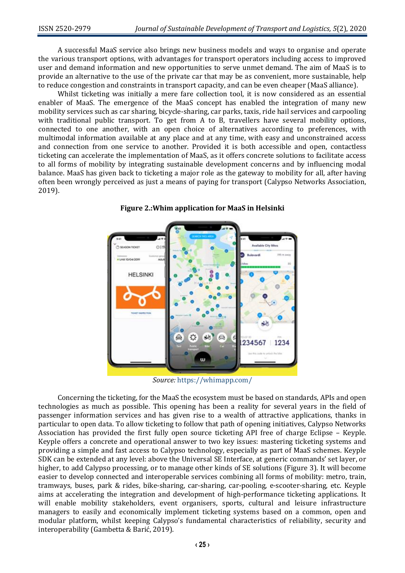A successful MaaS service also brings new business models and ways to organise and operate the various transport options, with advantages for transport operators including access to improved user and demand information and new opportunities to serve unmet demand. The aim of MaaS is to provide an alternative to the use of the private car that may be as convenient, more sustainable, help to reduce congestion and constraints in transport capacity, and can be even cheaper (MaaS alliance).

Whilst ticketing was initially a mere fare collection tool, it is now considered as an essential enabler of MaaS. The emergence of the MaaS concept has enabled the integration of many new mobility services such as car sharing, bicycle-sharing, car parks, taxis, ride hail services and carpooling with traditional public transport. To get from A to B, travellers have several mobility options, connected to one another, with an open choice of alternatives according to preferences, with multimodal information available at any place and at any time, with easy and unconstrained access and connection from one service to another. Provided it is both accessible and open, contactless ticketing can accelerate the implementation of MaaS, as it offers concrete solutions to facilitate access to all forms of mobility by integrating sustainable development concerns and by influencing modal balance. MaaS has given back to ticketing a major role as the gateway to mobility for all, after having often been wrongly perceived as just a means of paying for transport (Calypso Networks Association, 2019).



**Figure 2.:Whim application for MaaS in Helsinki**

*Source:* <https://whimapp.com/>

Concerning the ticketing, for the MaaS the ecosystem must be based on standards, APIs and open technologies as much as possible. This opening has been a reality for several years in the field of passenger information services and has given rise to a wealth of attractive applications, thanks in particular to open data. To allow ticketing to follow that path of opening initiatives, Calypso Networks Association has provided the first fully open source ticketing API free of charge Eclipse – Keyple. Keyple offers a concrete and operational answer to two key issues: mastering ticketing systems and providing a simple and fast access to Calypso technology, especially as part of MaaS schemes. Keyple SDK can be extended at any level: above the Universal SE Interface, at generic commands' set layer, or higher, to add Calypso processing, or to manage other kinds of SE solutions (Figure 3). It will become easier to develop connected and interoperable services combining all forms of mobility: metro, train, tramways, buses, park & rides, bike-sharing, car-sharing, car-pooling, e-scooter-sharing, etc. Keyple aims at accelerating the integration and development of high-performance ticketing applications. It will enable mobility stakeholders, event organisers, sports, cultural and leisure infrastructure managers to easily and economically implement ticketing systems based on a common, open and modular platform, whilst keeping Calypso's fundamental characteristics of reliability, security and interoperability (Gambetta & Barić, 2019).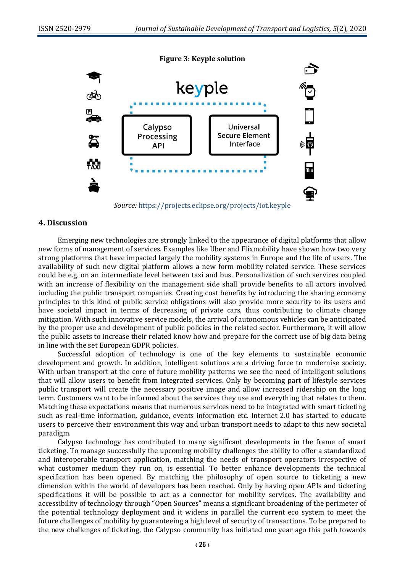

#### *Source:* <https://projects.eclipse.org/projects/iot.keyple>

#### **4. Discussion**

Emerging new technologies are strongly linked to the appearance of digital platforms that allow new forms of management of services. Examples like Uber and Flixmobility have shown how two very strong platforms that have impacted largely the mobility systems in Europe and the life of users. The availability of such new digital platform allows a new form mobility related service. These services could be e.g. on an intermediate level between taxi and bus. Personalization of such services coupled with an increase of flexibility on the management side shall provide benefits to all actors involved including the public transport companies. Creating cost benefits by introducing the sharing economy principles to this kind of public service obligations will also provide more security to its users and have societal impact in terms of decreasing of private cars, thus contributing to climate change mitigation. With such innovative service models, the arrival of autonomous vehicles can be anticipated by the proper use and development of public policies in the related sector. Furthermore, it will allow the public assets to increase their related know how and prepare for the correct use of big data being in line with the set European GDPR policies.

Successful adoption of technology is one of the key elements to sustainable economic development and growth. In addition, intelligent solutions are a driving force to modernise society. With urban transport at the core of future mobility patterns we see the need of intelligent solutions that will allow users to benefit from integrated services. Only by becoming part of lifestyle services public transport will create the necessary positive image and allow increased ridership on the long term. Customers want to be informed about the services they use and everything that relates to them. Matching these expectations means that numerous services need to be integrated with smart ticketing such as real-time information, guidance, events information etc. Internet 2.0 has started to educate users to perceive their environment this way and urban transport needs to adapt to this new societal paradigm.

Calypso technology has contributed to many significant developments in the frame of smart ticketing. To manage successfully the upcoming mobility challenges the ability to offer a standardized and interoperable transport application, matching the needs of transport operators irrespective of what customer medium they run on, is essential. To better enhance developments the technical specification has been opened. By matching the philosophy of open source to ticketing a new dimension within the world of developers has been reached. Only by having open APIs and ticketing specifications it will be possible to act as a connector for mobility services. The availability and accessibility of technology through "Open Sources" means a significant broadening of the perimeter of the potential technology deployment and it widens in parallel the current eco system to meet the future challenges of mobility by guaranteeing a high level of security of transactions. To be prepared to the new challenges of ticketing, the Calypso community has initiated one year ago this path towards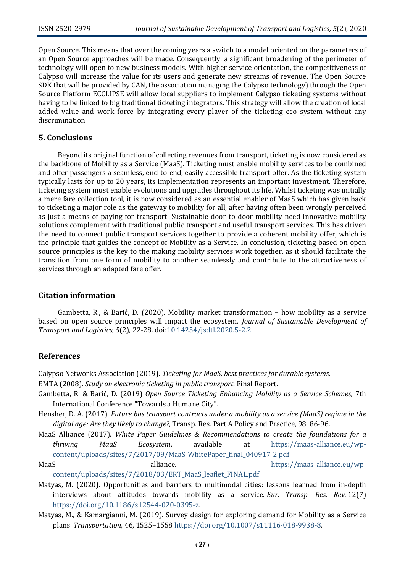Open Source. This means that over the coming years a switch to a model oriented on the parameters of an Open Source approaches will be made. Consequently, a significant broadening of the perimeter of technology will open to new business models. With higher service orientation, the competitiveness of Calypso will increase the value for its users and generate new streams of revenue. The Open Source SDK that will be provided by CAN, the association managing the Calypso technology) through the Open Source Platform ECCLIPSE will allow local suppliers to implement Calypso ticketing systems without having to be linked to big traditional ticketing integrators. This strategy will allow the creation of local added value and work force by integrating every player of the ticketing eco system without any discrimination.

## **5. Conclusions**

Beyond its original function of collecting revenues from transport, ticketing is now considered as the backbone of Mobility as a Service (MaaS). Ticketing must enable mobility services to be combined and offer passengers a seamless, end-to-end, easily accessible transport offer. As the ticketing system typically lasts for up to 20 years, its implementation represents an important investment. Therefore, ticketing system must enable evolutions and upgrades throughout its life. Whilst ticketing was initially a mere fare collection tool, it is now considered as an essential enabler of MaaS which has given back to ticketing a major role as the gateway to mobility for all, after having often been wrongly perceived as just a means of paying for transport. Sustainable door-to-door mobility need innovative mobility solutions complement with traditional public transport and useful transport services. This has driven the need to connect public transport services together to provide a coherent mobility offer, which is the principle that guides the concept of Mobility as a Service. In conclusion, ticketing based on open source principles is the key to the making mobility services work together, as it should facilitate the transition from one form of mobility to another seamlessly and contribute to the attractiveness of services through an adapted fare offer.

## **Citation information**

Gambetta, R., & Barić, D. (2020). Mobility market transformation – how mobility as a service based on open source principles will impact the ecosystem. *Journal of Sustainable Development of Transport and Logistics, 5*(2), 22-28. doi[:10.14254/jsdtl.2020.5-2.2](https://doi.org/10.14254/jsdtl.2020.5-2.2)

## **References**

Calypso Networks Association (2019). *Ticketing for MaaS, best practices for durable systems.*

EMTA (2008). *Study on electronic ticketing in public transport*, Final Report.

- Gambetta, R. & Barić, D. (2019) *Open Source Ticketing Enhancing Mobility as a Service Schemes,* 7th International Conference "Towards a Humane City".
- Hensher, D. A. (2017). *Future bus transport contracts under a mobility as a service (MaaS) regime in the digital age: Are they likely to change?,* Transp. Res. Part A Policy and Practice, 98, 86-96.
- MaaS Alliance (2017). *White Paper Guidelines & Recommendations to create the foundations for a thriving MaaS Ecosystem*, available at [https://maas-alliance.eu/wp](https://maas-alliance.eu/wp-content/uploads/sites/7/2017/09/MaaS-WhitePaper_final_040917-2.pdf)[content/uploads/sites/7/2017/09/MaaS-WhitePaper\\_final\\_040917-2.pdf.](https://maas-alliance.eu/wp-content/uploads/sites/7/2017/09/MaaS-WhitePaper_final_040917-2.pdf)
- MaaS alliance. [https://maas-alliance.eu/wp](https://maas-alliance.eu/wp-content/uploads/sites/7/2018/03/ERT_MaaS_leaflet_FINAL.pdf)[content/uploads/sites/7/2018/03/ERT\\_MaaS\\_leaflet\\_FINAL.pdf.](https://maas-alliance.eu/wp-content/uploads/sites/7/2018/03/ERT_MaaS_leaflet_FINAL.pdf)
- Matyas, M. (2020). Opportunities and barriers to multimodal cities: lessons learned from in-depth interviews about attitudes towards mobility as a service. *Eur. Transp. Res. Rev.* 12(7) [https://doi.org/10.1186/s12544-020-0395-z.](https://doi.org/10.1186/s12544-020-0395-z)
- Matyas, M., & Kamargianni, M. (2019). Survey design for exploring demand for Mobility as a Service plans. *Transportation*, 46, 1525–155[8 https://doi.org/10.1007/s11116-018-9938-8.](https://doi.org/10.1007/s11116-018-9938-8)